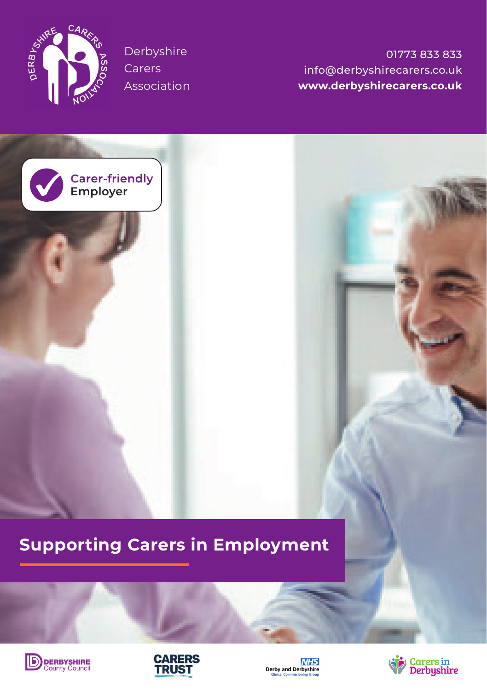

Derbyshire Carers Association

**Employer**

01773 833 833 info@derbyshirecarers.co.uk **www.derbyshirecarers.co.uk**

# **Supporting Carers in Employment**







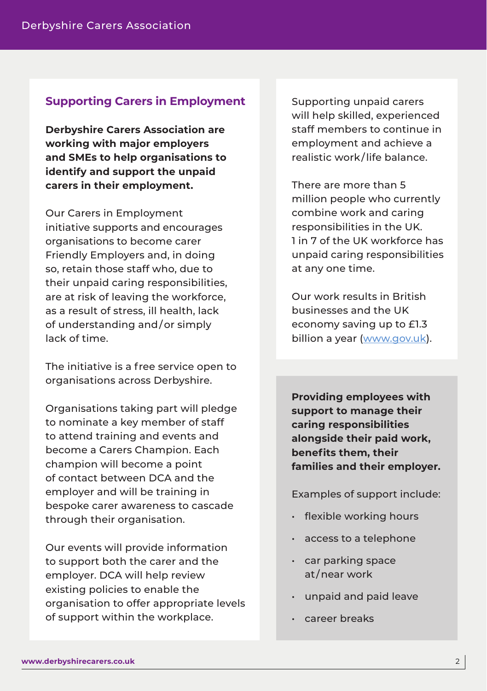## **Supporting Carers in Employment**

**Derbyshire Carers Association are working with major employers and SMEs to help organisations to identify and support the unpaid carers in their employment.**

Our Carers in Employment initiative supports and encourages organisations to become carer Friendly Employers and, in doing so, retain those staff who, due to their unpaid caring responsibilities, are at risk of leaving the workforce, as a result of stress, ill health, lack of understanding and / or simply lack of time.

The initiative is a free service open to organisations across Derbyshire.

Organisations taking part will pledge to nominate a key member of staff to attend training and events and become a Carers Champion. Each champion will become a point of contact between DCA and the employer and will be training in bespoke carer awareness to cascade through their organisation.

Our events will provide information to support both the carer and the employer. DCA will help review existing policies to enable the organisation to offer appropriate levels of support within the workplace.

Supporting unpaid carers will help skilled, experienced staff members to continue in employment and achieve a realistic work / life balance.

There are more than 5 million people who currently combine work and caring responsibilities in the UK. 1 in 7 of the UK workforce has unpaid caring responsibilities at any one time.

Our work results in British businesses and the UK economy saving up to £1.3 billion a year (www.gov.uk).

**Providing employees with support to manage their caring responsibilities alongside their paid work, benefits them, their families and their employer.**

Examples of support include:

- flexible working hours
- access to a telephone
- car parking space at / near work
- unpaid and paid leave
- career breaks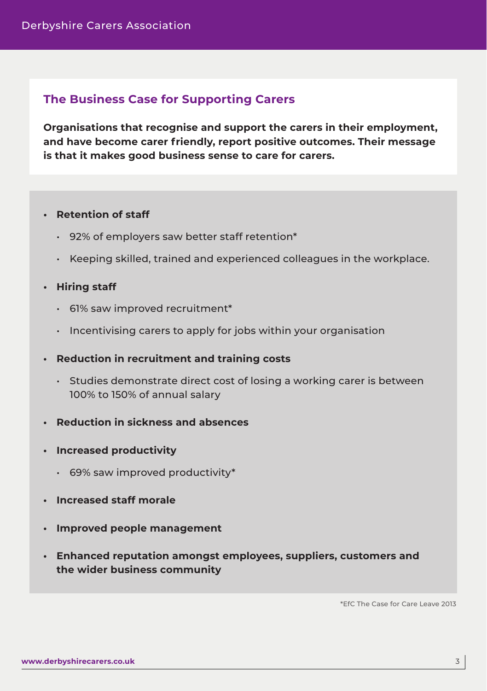# **The Business Case for Supporting Carers**

**Organisations that recognise and support the carers in their employment, and have become carer friendly, report positive outcomes. Their message is that it makes good business sense to care for carers.**

#### **• Retention of staff**

- 92% of employers saw better staff retention\*
- Keeping skilled, trained and experienced colleagues in the workplace.

#### **• Hiring staff**

- 61% saw improved recruitment\*
- Incentivising carers to apply for jobs within your organisation
- **Reduction in recruitment and training costs**
	- Studies demonstrate direct cost of losing a working carer is between 100% to 150% of annual salary
- **Reduction in sickness and absences**
- **Increased productivity**
	- 69% saw improved productivity\*
- **Increased staff morale**
- **Improved people management**
- **Enhanced reputation amongst employees, suppliers, customers and the wider business community**

\*EfC The Case for Care Leave 2013